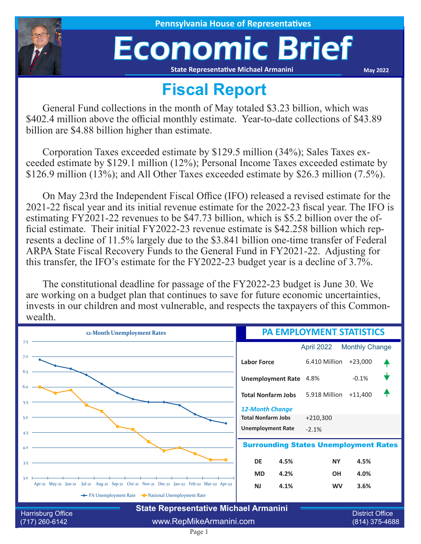

**House of Representatives** 

## Economic Brief

**State Representative Michael Armanini**

**May 2022**

## **Fiscal Report**

General Fund collections in the month of May totaled \$3.23 billion, which was \$402.4 million above the official monthly estimate. Year-to-date collections of \$43.89 billion are \$4.88 billion higher than estimate.

Corporation Taxes exceeded estimate by \$129.5 million (34%); Sales Taxes exceeded estimate by \$129.1 million (12%); Personal Income Taxes exceeded estimate by \$126.9 million (13%); and All Other Taxes exceeded estimate by \$26.3 million (7.5%).

On May 23rd the Independent Fiscal Office (IFO) released a revised estimate for the 2021-22 fiscal year and its initial revenue estimate for the 2022-23 fiscal year. The IFO is estimating FY2021-22 revenues to be \$47.73 billion, which is \$5.2 billion over the official estimate. Their initial FY2022-23 revenue estimate is \$42.258 billion which represents a decline of 11.5% largely due to the \$3.841 billion one-time transfer of Federal ARPA State Fiscal Recovery Funds to the General Fund in FY2021-22. Adjusting for this transfer, the IFO's estimate for the FY2022-23 budget year is a decline of 3.7%.

The constitutional deadline for passage of the FY2022-23 budget is June 30. We are working on a budget plan that continues to save for future economic uncertainties, invests in our children and most vulnerable, and respects the taxpayers of this Commonwealth.

| 12-Month Unemployment Rates                                                                |                         | PA EMPLOYMENT STATISTICS  |               |                                          |  |
|--------------------------------------------------------------------------------------------|-------------------------|---------------------------|---------------|------------------------------------------|--|
| 7.5                                                                                        |                         |                           | April 2022    | <b>Monthly Change</b>                    |  |
| 7.0                                                                                        |                         | <b>Labor Force</b>        | 6.410 Million | $+23,000$                                |  |
| 6.5                                                                                        |                         | <b>Unemployment Rate</b>  | 4.8%          | $-0.1%$                                  |  |
| 6.0                                                                                        |                         | <b>Total Nonfarm Jobs</b> | 5.918 Million | $+11,400$                                |  |
| 5.5                                                                                        |                         | <b>12-Month Change</b>    |               |                                          |  |
| 5.0                                                                                        |                         | <b>Total Nonfarm Jobs</b> | $+210,300$    |                                          |  |
| 4.5                                                                                        |                         | <b>Unemployment Rate</b>  | $-2.1%$       |                                          |  |
| <b>Surrounding States Unemployment Rates</b><br>4.0                                        |                         |                           |               |                                          |  |
| 3.5                                                                                        |                         | <b>DE</b><br>4.5%         | <b>NY</b>     | 4.5%                                     |  |
| 3.0                                                                                        |                         | 4.2%<br><b>MD</b>         | <b>OH</b>     | 4.0%                                     |  |
| Apr-21 May-21 Jun-21 Jul-21 Aug-21 Sep-21 Oct-21 Nov-21 Dec-21 Jan-22 Feb-22 Mar-22 Apr-22 |                         | <b>NJ</b><br>4.1%         | <b>WV</b>     | 3.6%                                     |  |
| ← PA Unemployment Rate – National Unemployment Rate                                        |                         |                           |               |                                          |  |
| <b>State Representative Michael Armanini</b>                                               |                         |                           |               |                                          |  |
| Harrisburg Office<br>$(717)$ 260-6142                                                      | www.RepMikeArmanini.com |                           |               | <b>District Office</b><br>(814) 375-4688 |  |